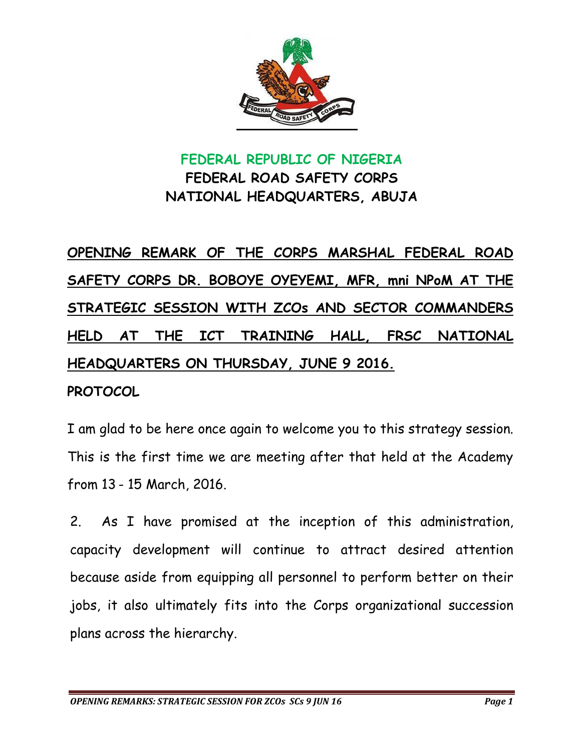

## **FEDERAL REPUBLIC OF NIGERIA FEDERAL ROAD SAFETY CORPS NATIONAL HEADQUARTERS, ABUJA**

## **OPENING REMARK OF THE CORPS MARSHAL FEDERAL ROAD SAFETY CORPS DR. BOBOYE OYEYEMI, MFR, mni NPoM AT THE STRATEGIC SESSION WITH ZCOs AND SECTOR COMMANDERS HELD AT THE ICT TRAINING HALL, FRSC NATIONAL HEADQUARTERS ON THURSDAY, JUNE 9 2016.**

## **PROTOCOL**

I am glad to be here once again to welcome you to this strategy session. This is the first time we are meeting after that held at the Academy from 13 - 15 March, 2016.

2. As I have promised at the inception of this administration, capacity development will continue to attract desired attention because aside from equipping all personnel to perform better on their jobs, it also ultimately fits into the Corps organizational succession plans across the hierarchy.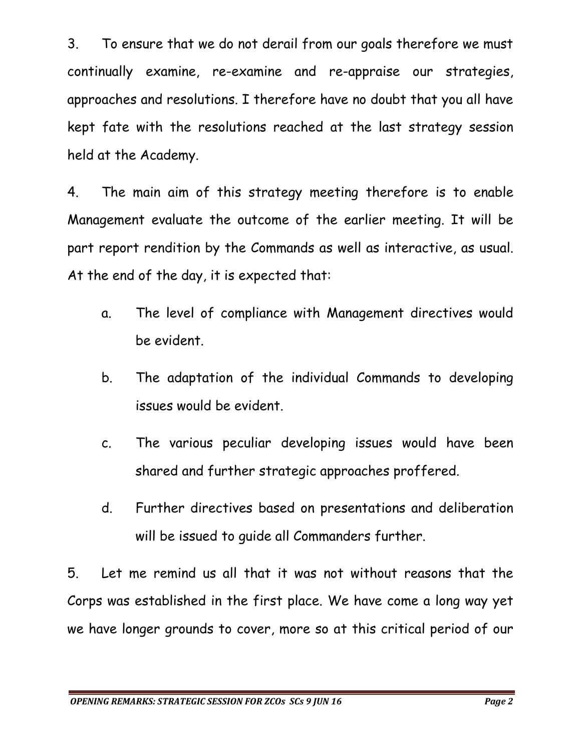3. To ensure that we do not derail from our goals therefore we must continually examine, re-examine and re-appraise our strategies, approaches and resolutions. I therefore have no doubt that you all have kept fate with the resolutions reached at the last strategy session held at the Academy.

4. The main aim of this strategy meeting therefore is to enable Management evaluate the outcome of the earlier meeting. It will be part report rendition by the Commands as well as interactive, as usual. At the end of the day, it is expected that:

- a. The level of compliance with Management directives would be evident.
- b. The adaptation of the individual Commands to developing issues would be evident.
- c. The various peculiar developing issues would have been shared and further strategic approaches proffered.
- d. Further directives based on presentations and deliberation will be issued to guide all Commanders further.

5. Let me remind us all that it was not without reasons that the Corps was established in the first place. We have come a long way yet we have longer grounds to cover, more so at this critical period of our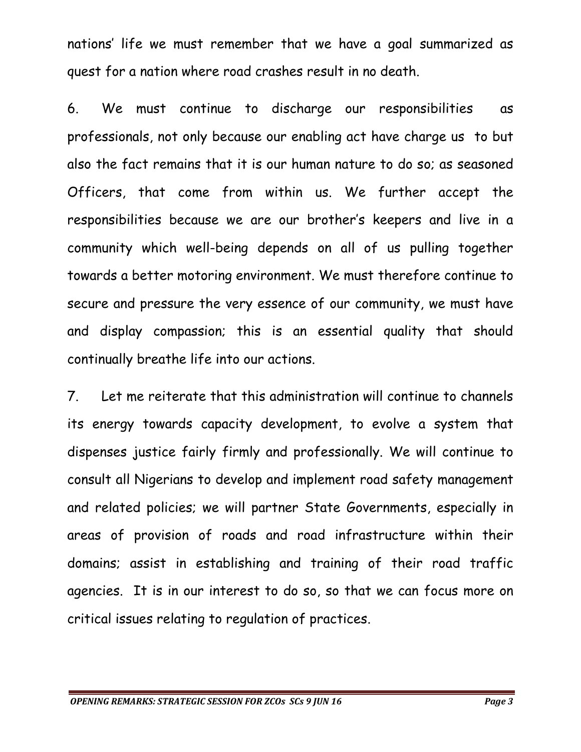nations' life we must remember that we have a goal summarized as quest for a nation where road crashes result in no death.

6. We must continue to discharge our responsibilities as professionals, not only because our enabling act have charge us to but also the fact remains that it is our human nature to do so; as seasoned Officers, that come from within us. We further accept the responsibilities because we are our brother's keepers and live in a community which well-being depends on all of us pulling together towards a better motoring environment. We must therefore continue to secure and pressure the very essence of our community, we must have and display compassion; this is an essential quality that should continually breathe life into our actions.

7. Let me reiterate that this administration will continue to channels its energy towards capacity development, to evolve a system that dispenses justice fairly firmly and professionally. We will continue to consult all Nigerians to develop and implement road safety management and related policies; we will partner State Governments, especially in areas of provision of roads and road infrastructure within their domains; assist in establishing and training of their road traffic agencies. It is in our interest to do so, so that we can focus more on critical issues relating to regulation of practices.